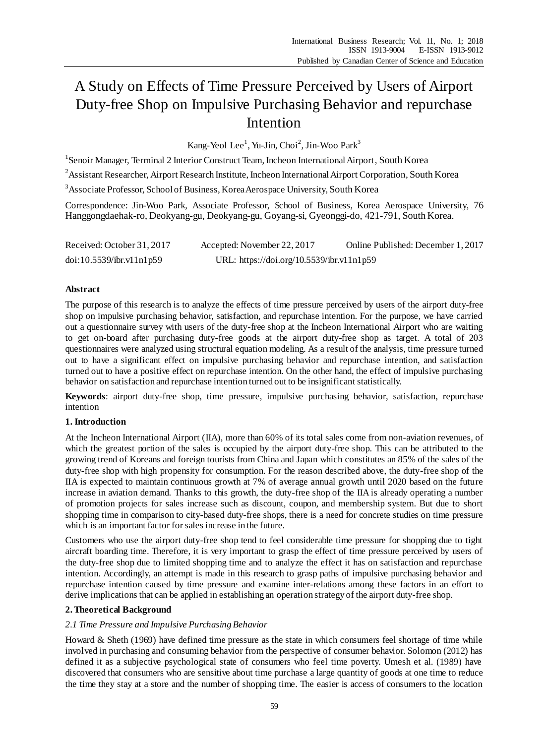# A Study on Effects of Time Pressure Perceived by Users of Airport Duty-free Shop on Impulsive Purchasing Behavior and repurchase Intention

Kang-Yeol Lee<sup>1</sup>, Yu-Jin, Choi<sup>2</sup>, Jin-Woo Park<sup>3</sup>

<sup>1</sup> Senoir Manager, Terminal 2 Interior Construct Team, Incheon International Airport, South Korea

<sup>2</sup> Assistant Researcher, Airport Research Institute, Incheon International Airport Corporation, South Korea

<sup>3</sup> Associate Professor, School of Business, Korea Aerospace University, South Korea

Correspondence: Jin-Woo Park, Associate Professor, School of Business, Korea Aerospace University, 76 Hanggongdaehak-ro, Deokyang-gu, Deokyang-gu, Goyang-si, Gyeonggi-do, 421-791, South Korea.

| Received: October 31, 2017 | Accepted: November 22, 2017               | Online Published: December 1, 2017 |
|----------------------------|-------------------------------------------|------------------------------------|
| doi:10.5539/ibr.v11nlp59   | URL: https://doi.org/10.5539/ibr.v11n1p59 |                                    |

# **Abstract**

The purpose of this research is to analyze the effects of time pressure perceived by users of the airport duty-free shop on impulsive purchasing behavior, satisfaction, and repurchase intention. For the purpose, we have carried out a questionnaire survey with users of the duty-free shop at the Incheon International Airport who are waiting to get on-board after purchasing duty-free goods at the airport duty-free shop as target. A total of 203 questionnaires were analyzed using structural equation modeling. As a result of the analysis, time pressure turned out to have a significant effect on impulsive purchasing behavior and repurchase intention, and satisfaction turned out to have a positive effect on repurchase intention. On the other hand, the effect of impulsive purchasing behavior on satisfaction and repurchase intention turned out to be insignificant statistically.

**Keywords**: airport duty-free shop, time pressure, impulsive purchasing behavior, satisfaction, repurchase intention

# **1. Introduction**

At the Incheon International Airport (IIA), more than 60% of its total sales come from non-aviation revenues, of which the greatest portion of the sales is occupied by the airport duty-free shop. This can be attributed to the growing trend of Koreans and foreign tourists from China and Japan which constitutes an 85% of the sales of the duty-free shop with high propensity for consumption. For the reason described above, the duty-free shop of the IIA is expected to maintain continuous growth at 7% of average annual growth until 2020 based on the future increase in aviation demand. Thanks to this growth, the duty-free shop of the IIA is already operating a number of promotion projects for sales increase such as discount, coupon, and membership system. But due to short shopping time in comparison to city-based duty-free shops, there is a need for concrete studies on time pressure which is an important factor for sales increase in the future.

Customers who use the airport duty-free shop tend to feel considerable time pressure for shopping due to tight aircraft boarding time. Therefore, it is very important to grasp the effect of time pressure perceived by users of the duty-free shop due to limited shopping time and to analyze the effect it has on satisfaction and repurchase intention. Accordingly, an attempt is made in this research to grasp paths of impulsive purchasing behavior and repurchase intention caused by time pressure and examine inter-relations among these factors in an effort to derive implications that can be applied in establishing an operation strategy of the airport duty-free shop.

## **2. Theoretical Background**

## *2.1 Time Pressure and Impulsive Purchasing Behavior*

Howard & Sheth (1969) have defined time pressure as the state in which consumers feel shortage of time while involved in purchasing and consuming behavior from the perspective of consumer behavior. Solomon (2012) has defined it as a subjective psychological state of consumers who feel time poverty. Umesh et al. (1989) have discovered that consumers who are sensitive about time purchase a large quantity of goods at one time to reduce the time they stay at a store and the number of shopping time. The easier is access of consumers to the location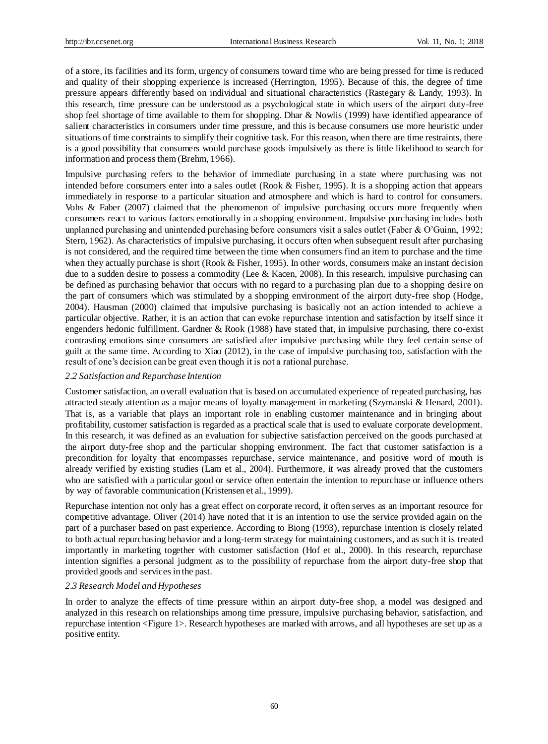of a store, its facilities and its form, urgency of consumers toward time who are being pressed for time is reduced and quality of their shopping experience is increased (Herrington, 1995). Because of this, the degree of time pressure appears differently based on individual and situational characteristics (Rastegary & Landy, 1993). In this research, time pressure can be understood as a psychological state in which users of the airport duty-free shop feel shortage of time available to them for shopping. Dhar & Nowlis (1999) have identified appearance of salient characteristics in consumers under time pressure, and this is because consumers use more heuristic under situations of time constraints to simplify their cognitive task. For this reason, when there are time restraints, there is a good possibility that consumers would purchase goods impulsively as there is little likelihood to search for information and process them (Brehm, 1966).

Impulsive purchasing refers to the behavior of immediate purchasing in a state where purchasing was not intended before consumers enter into a sales outlet (Rook & Fisher, 1995). It is a shopping action that appears immediately in response to a particular situation and atmosphere and which is hard to control for consumers. Vohs & Faber (2007) claimed that the phenomenon of impulsive purchasing occurs more frequently when consumers react to various factors emotionally in a shopping environment. Impulsive purchasing includes both unplanned purchasing and unintended purchasing before consumers visit a sales outlet (Faber & O'Guinn, 1992; Stern, 1962). As characteristics of impulsive purchasing, it occurs often when subsequent result after purchasing is not considered, and the required time between the time when consumers find an item to purchase and the time when they actually purchase is short (Rook & Fisher, 1995). In other words, consumers make an instant decision due to a sudden desire to possess a commodity (Lee & Kacen, 2008). In this research, impulsive purchasing can be defined as purchasing behavior that occurs with no regard to a purchasing plan due to a shopping desire on the part of consumers which was stimulated by a shopping environment of the airport duty-free shop (Hodge, 2004). Hausman (2000) claimed that impulsive purchasing is basically not an action intended to achieve a particular objective. Rather, it is an action that can evoke repurchase intention and satisfaction by itself since it engenders hedonic fulfillment. Gardner & Rook (1988) have stated that, in impulsive purchasing, there co-exist contrasting emotions since consumers are satisfied after impulsive purchasing while they feel certain sense of guilt at the same time. According to Xiao (2012), in the case of impulsive purchasing too, satisfaction with the result of one's decision can be great even though it is not a rational purchase.

#### *2.2 Satisfaction and Repurchase Intention*

Customer satisfaction, an overall evaluation that is based on accumulated experience of repeated purchasing, has attracted steady attention as a major means of loyalty management in marketing (Szymanski & Henard, 2001). That is, as a variable that plays an important role in enabling customer maintenance and in bringing about profitability, customer satisfaction is regarded as a practical scale that is used to evaluate corporate development. In this research, it was defined as an evaluation for subjective satisfaction perceived on the goods purchased at the airport duty-free shop and the particular shopping environment. The fact that customer satisfaction is a precondition for loyalty that encompasses repurchase, service maintenance, and positive word of mouth is already verified by existing studies (Lam et al., 2004). Furthermore, it was already proved that the customers who are satisfied with a particular good or service often entertain the intention to repurchase or influence others by way of favorable communication (Kristensen et al., 1999).

Repurchase intention not only has a great effect on corporate record, it often serves as an important resource for competitive advantage. Oliver (2014) have noted that it is an intention to use the service provided again on the part of a purchaser based on past experience. According to Biong (1993), repurchase intention is closely related to both actual repurchasing behavior and a long-term strategy for maintaining customers, and as such it is treated importantly in marketing together with customer satisfaction (Hof et al., 2000). In this research, repurchase intention signifies a personal judgment as to the possibility of repurchase from the airport duty-free shop that provided goods and services in the past.

#### *2.3 Research Model and Hypotheses*

In order to analyze the effects of time pressure within an airport duty-free shop, a model was designed and analyzed in this research on relationships among time pressure, impulsive purchasing behavior, satisfaction, and repurchase intention <Figure 1>. Research hypotheses are marked with arrows, and all hypotheses are set up as a positive entity.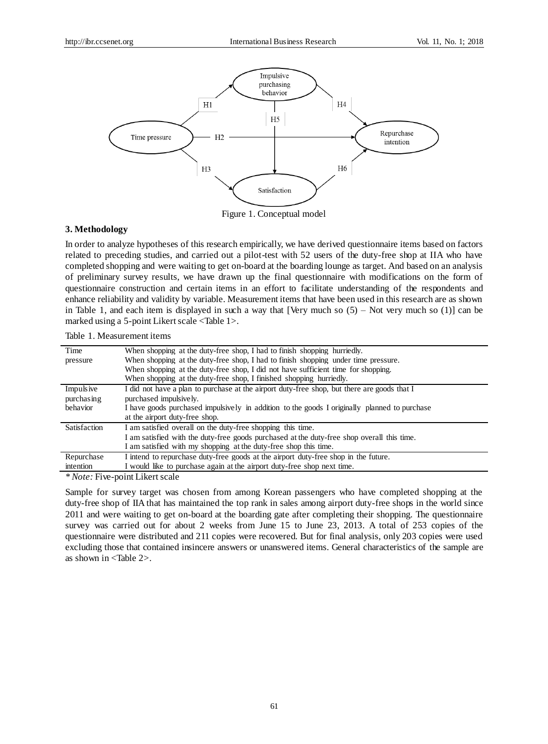

Figure 1. Conceptual model

#### **3. Methodology**

In order to analyze hypotheses of this research empirically, we have derived questionnaire items based on factors related to preceding studies, and carried out a pilot-test with 52 users of the duty-free shop at IIA who have completed shopping and were waiting to get on-board at the boarding lounge as target. And based on an analysis of preliminary survey results, we have drawn up the final questionnaire with modifications on the form of questionnaire construction and certain items in an effort to facilitate understanding of the respondents and enhance reliability and validity by variable. Measurement items that have been used in this research are as shown in Table 1, and each item is displayed in such a way that [Very much so  $(5)$  – Not very much so  $(1)$ ] can be marked using a 5-point Likert scale <Table 1>.

| Time         | When shopping at the duty-free shop, I had to finish shopping hurriedly.                     |
|--------------|----------------------------------------------------------------------------------------------|
| pressure     | When shopping at the duty-free shop, I had to finish shopping under time pressure.           |
|              | When shopping at the duty-free shop, I did not have sufficient time for shopping.            |
|              | When shopping at the duty-free shop, I finished shopping hurriedly.                          |
| Impulsive    | I did not have a plan to purchase at the airport duty-free shop, but there are goods that I  |
| purchasing   | purchased impulsively.                                                                       |
| behavior     | I have goods purchased impulsively in addition to the goods I originally planned to purchase |
|              | at the airport duty-free shop.                                                               |
| Satisfaction | I am satisfied overall on the duty-free shopping this time.                                  |
|              | I am satisfied with the duty-free goods purchased at the duty-free shop overall this time.   |
|              | I am satisfied with my shopping at the duty-free shop this time.                             |
| Repurchase   | I intend to repurchase duty-free goods at the airport duty-free shop in the future.          |
| intention    | I would like to purchase again at the airport duty-free shop next time.                      |
|              |                                                                                              |

Table 1. Measurement items

*\* Note:* Five-point Likert scale

Sample for survey target was chosen from among Korean passengers who have completed shopping at the duty-free shop of IIA that has maintained the top rank in sales among airport duty-free shops in the world since 2011 and were waiting to get on-board at the boarding gate after completing their shopping. The questionnaire survey was carried out for about 2 weeks from June 15 to June 23, 2013. A total of 253 copies of the questionnaire were distributed and 211 copies were recovered. But for final analysis, only 203 copies were used excluding those that contained insincere answers or unanswered items. General characteristics of the sample are as shown in <Table 2>.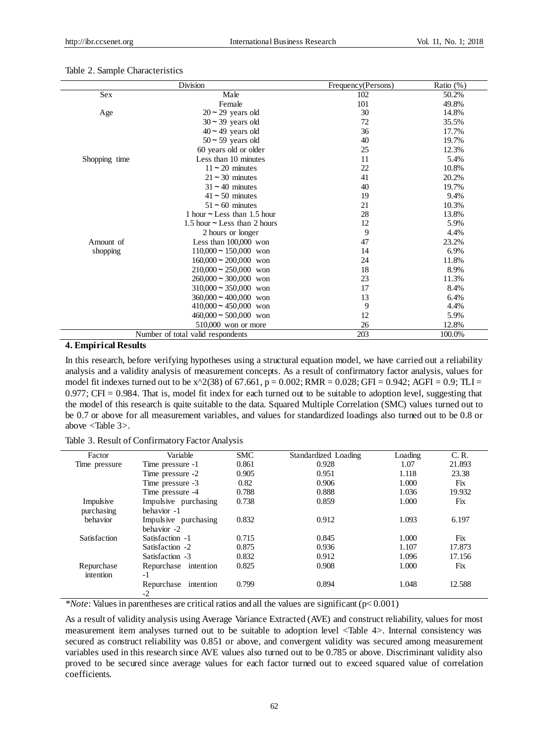|               | <b>Division</b>                   | Frequency(Persons) | Ratio $(\%)$ |
|---------------|-----------------------------------|--------------------|--------------|
| Sex           | Male                              | 102                | 50.2%        |
|               | Female                            | 101                | 49.8%        |
| Age           | $20 \sim 29$ years old            | 30                 | 14.8%        |
|               | $30 \sim 39$ years old            | 72                 | 35.5%        |
|               | $40 \sim 49$ years old            | 36                 | 17.7%        |
|               | $50 \sim 59$ years old            | 40                 | 19.7%        |
|               | 60 years old or older             | 25                 | 12.3%        |
| Shopping time | Less than 10 minutes              | 11                 | 5.4%         |
|               | $11 - 20$ minutes                 | 22                 | 10.8%        |
|               | $21 - 30$ minutes                 | 41                 | 20.2%        |
|               | $31 - 40$ minutes                 | 40                 | 19.7%        |
|               | $41 \sim 50$ minutes              | 19                 | 9.4%         |
|               | $51 \sim 60$ minutes              | 21                 | 10.3%        |
|               | 1 hour $\sim$ Less than 1.5 hour  | 28                 | 13.8%        |
|               | 1.5 hour $\sim$ Less than 2 hours | 12                 | 5.9%         |
|               | 2 hours or longer                 | 9                  | 4.4%         |
| Amount of     | Less than 100,000 won             | 47                 | 23.2%        |
| shopping      | $110,000 \sim 150,000$ won        | 14                 | 6.9%         |
|               | $160,000 \approx 200,000$ won     | 24                 | 11.8%        |
|               | $210,000 \approx 250,000$ won     | 18                 | 8.9%         |
|               | $260,000 \sim 300,000$ won        | 23                 | 11.3%        |
|               | $310,000 \approx 350,000$ won     | 17                 | 8.4%         |
|               | $360,000 \approx 400,000$ won     | 13                 | 6.4%         |
|               | $410,000 \sim 450,000$ won        | 9                  | 4.4%         |
|               | $460,000 \approx 500,000$ won     | 12                 | 5.9%         |
|               | $510,000$ won or more             | 26                 | 12.8%        |
|               | Number of total valid respondents | 203                | 100.0%       |

# Table 2. Sample Characteristics

# **4. Empirical Results**

In this research, before verifying hypotheses using a structural equation model, we have carried out a reliability analysis and a validity analysis of measurement concepts. As a result of confirmatory factor analysis, values for model fit indexes turned out to be  $x^2(38)$  of 67.661, p = 0.002; RMR = 0.028; GFI = 0.942; AGFI = 0.9; TLI = 0.977; CFI = 0.984. That is, model fit index for each turned out to be suitable to adoption level, suggesting that the model of this research is quite suitable to the data. Squared Multiple Correlation (SMC) values turned out to be 0.7 or above for all measurement variables, and values for standardized loadings also turned out to be 0.8 or above <Table 3>.

Table 3. Result of Confirmatory Factor Analysis

| Factor        | Variable                | <b>SMC</b> | Standardized Loading | Loading | C. R.  |
|---------------|-------------------------|------------|----------------------|---------|--------|
| Time pressure | Time pressure -1        | 0.861      | 0.928                | 1.07    | 21.893 |
|               | Time pressure -2        | 0.905      | 0.951                | 1.118   | 23.38  |
|               | Time pressure -3        | 0.82       | 0.906                | 1.000   | Fix    |
|               | Time pressure -4        | 0.788      | 0.888                | 1.036   | 19.932 |
| Impulsive     | Impulsive purchasing    | 0.738      | 0.859                | 1.000   | Fix    |
| purchasing    | behavior -1             |            |                      |         |        |
| behavior      | Impulsive purchasing    | 0.832      | 0.912                | 1.093   | 6.197  |
|               | behavior -2             |            |                      |         |        |
| Satisfaction  | Satisfaction -1         | 0.715      | 0.845                | 1.000   | Fix    |
|               | Satisfaction -2         | 0.875      | 0.936                | 1.107   | 17.873 |
|               | Satisfaction -3         | 0.832      | 0.912                | 1.096   | 17.156 |
| Repurchase    | Repurchase intention    | 0.825      | 0.908                | 1.000   | Fix    |
| intention     | $-1$                    |            |                      |         |        |
|               | intention<br>Repurchase | 0.799      | 0.894                | 1.048   | 12.588 |
|               | $-2$                    |            |                      |         |        |

*\*Note*: Values in parentheses are critical ratios and all the values are significant (p< 0.001)

As a result of validity analysis using Average Variance Extracted (AVE) and construct reliability, values for most measurement item analyses turned out to be suitable to adoption level <Table 4>. Internal consistency was secured as construct reliability was 0.851 or above, and convergent validity was secured among measurement variables used in this research since AVE values also turned out to be 0.785 or above. Discriminant validity also proved to be secured since average values for each factor turned out to exceed squared value of correlation coefficients.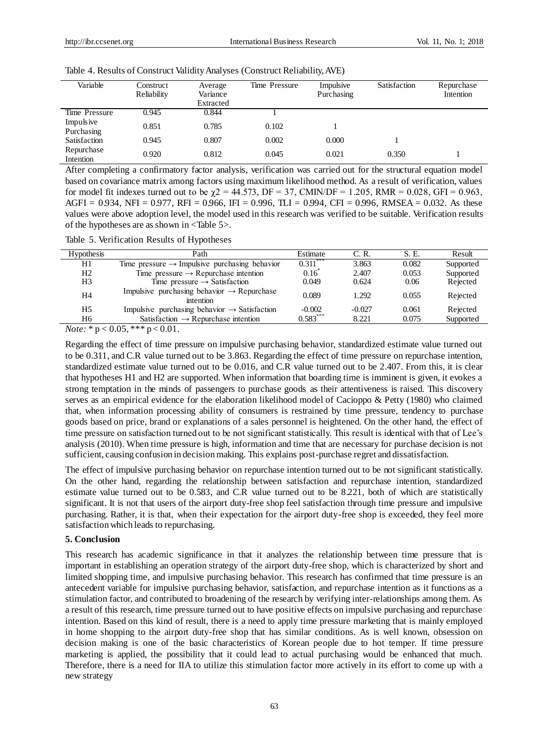| Variable                | Construct<br>Reliability | Average<br>Variance<br>Extracted | Time Pressure | Impulsive<br>Purchasing | Satisfaction | Repurchase<br>Intention |
|-------------------------|--------------------------|----------------------------------|---------------|-------------------------|--------------|-------------------------|
| Time Pressure           | 0.945                    | 0.844                            |               |                         |              |                         |
| Impulsive<br>Purchasing | 0.851                    | 0.785                            | 0.102         |                         |              |                         |
| Satisfaction            | 0.945                    | 0.807                            | 0.002         | 0.000                   |              |                         |
| Repurchase<br>Intention | 0.920                    | 0.812                            | 0.045         | 0.021                   | 0.350        |                         |

Table 4. Results of Construct Validity Analyses (Construct Reliability, AVE)

After completing a confirmatory factor analysis, verification was carried out for the structural equation model based on covariance matrix among factors using maximum likelihood method. As a result of verification, values for model fit indexes turned out to be  $\chi$ 2 = 44.573, DF = 37, CMIN/DF = 1.205, RMR = 0.028, GFI = 0.963, AGFI = 0.934, NFI = 0.977, RFI = 0.966, IFI = 0.996, TLI = 0.994, CFI = 0.996, RMSEA = 0.032. As these values were above adoption level, the model used in this research was verified to be suitable. Verification results of the hypotheses are as shown in <Table 5>.

Table 5. Verification Results of Hypotheses

| <b>Hypothesis</b> | Path                                                                | Estimate       | C. R.    | S. E. | Result    |
|-------------------|---------------------------------------------------------------------|----------------|----------|-------|-----------|
| H1                | Time pressure $\rightarrow$ Impulsive purchasing behavior           | $0.311***$     | 3.863    | 0.082 | Supported |
| H2                | Time pressure $\rightarrow$ Repurchase intention                    | $0.16^{\circ}$ | 2.407    | 0.053 | Supported |
| H3                | Time pressure $\rightarrow$ Satisfaction                            | 0.049          | 0.624    | 0.06  | Rejected  |
| H4                | Impulsive purchasing behavior $\rightarrow$ Repurchase<br>intention | 0.089          | 1.292    | 0.055 | Rejected  |
| H5                | Impulsive purchasing behavior $\rightarrow$ Satisfaction            | $-0.002$       | $-0.027$ | 0.061 | Rejected  |
| H6                | Satisfaction $\rightarrow$ Repurchase intention                     | $0.583***$     | 8.221    | 0.075 | Supported |
|                   |                                                                     |                |          |       |           |

*Note:*  $* p < 0.05$ ,  $** p < 0.01$ .

Regarding the effect of time pressure on impulsive purchasing behavior, standardized estimate value turned out to be 0.311, and C.R value turned out to be 3.863. Regarding the effect of time pressure on repurchase intention, standardized estimate value turned out to be 0.016, and C.R value turned out to be 2.407. From this, it is clear that hypotheses H1 and H2 are supported. When information that boarding time is imminent is given, it evokes a strong temptation in the minds of passengers to purchase goods as their attentiveness is raised. This discovery serves as an empirical evidence for the elaboration likelihood model of Cacioppo & Petty (1980) who claimed that, when information processing ability of consumers is restrained by time pressure, tendency to purchase goods based on price, brand or explanations of a sales personnel is heightened. On the other hand, the effect of time pressure on satisfaction turned out to be not significant statistically. This result is identical with that of Lee's analysis (2010). When time pressure is high, information and time that are necessary for purchase decision is not sufficient, causing confusion in decision making. This explains post-purchase regret and dissatisfaction.

The effect of impulsive purchasing behavior on repurchase intention turned out to be not significant statistically. On the other hand, regarding the relationship between satisfaction and repurchase intention, standardized estimate value turned out to be 0.583, and C.R value turned out to be 8.221, both of which are statistically significant. It is not that users of the airport duty-free shop feel satisfaction through time pressure and impulsive purchasing. Rather, it is that, when their expectation for the airport duty-free shop is exceeded, they feel more satisfaction which leads to repurchasing.

#### **5. Conclusion**

This research has academic significance in that it analyzes the relationship between time pressure that is important in establishing an operation strategy of the airport duty-free shop, which is characterized by short and limited shopping time, and impulsive purchasing behavior. This research has confirmed that time pressure is an antecedent variable for impulsive purchasing behavior, satisfaction, and repurchase intention as it functions as a stimulation factor, and contributed to broadening of the research by verifying inter-relationships among them. As a result of this research, time pressure turned out to have positive effects on impulsive purchasing and repurchase intention. Based on this kind of result, there is a need to apply time pressure marketing that is mainly employed in home shopping to the airport duty-free shop that has similar conditions. As is well known, obsession on decision making is one of the basic characteristics of Korean people due to hot temper. If time pressure marketing is applied, the possibility that it could lead to actual purchasing would be enhanced that much. Therefore, there is a need for IIA to utilize this stimulation factor more actively in its effort to come up with a new strategy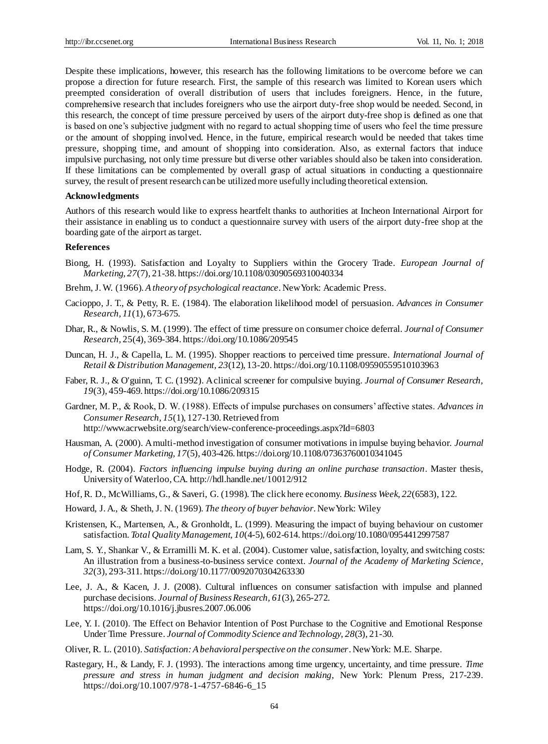Despite these implications, however, this research has the following limitations to be overcome before we can propose a direction for future research. First, the sample of this research was limited to Korean users which preempted consideration of overall distribution of users that includes foreigners. Hence, in the future, comprehensive research that includes foreigners who use the airport duty-free shop would be needed. Second, in this research, the concept of time pressure perceived by users of the airport duty-free shop is defined as one that is based on one's subjective judgment with no regard to actual shopping time of users who feel the time pressure or the amount of shopping involved. Hence, in the future, empirical research would be needed that takes time pressure, shopping time, and amount of shopping into consideration. Also, as external factors that induce impulsive purchasing, not only time pressure but diverse other variables should also be taken into consideration. If these limitations can be complemented by overall grasp of actual situations in conducting a questionnaire survey, the result of present research can be utilized more usefully including theoretical extension.

#### **Acknowledgments**

Authors of this research would like to express heartfelt thanks to authorities at Incheon International Airport for their assistance in enabling us to conduct a questionnaire survey with users of the airport duty-free shop at the boarding gate of the airport as target.

### **References**

- Biong, H. (1993). Satisfaction and Loyalty to Suppliers within the Grocery Trade. *European Journal of Marketing, 27*(7), 21-38[. https://doi.org/10.1108/03090569310040334](https://doi.org/10.1108/03090569310040334)
- Brehm, J. W. (1966). *A theory of psychological reactance*. New York: Academic Press.
- Cacioppo, J. T., & Petty, R. E. (1984). The elaboration likelihood model of persuasion*. Advances in Consumer Research, 11*(1), 673-675.
- Dhar, R., & Nowlis, S. M. (1999). The effect of time pressure on consumer choice deferral. *Journal of Consumer Research,* 25(4), 369-384[. https://doi.org/10.1086/209545](https://doi.org/10.1086/209545)
- Duncan, H. J., & Capella, L. M. (1995). Shopper reactions to perceived time pressure. *International Journal of Retail & Distribution Management, 23*(12), 13-20. https://doi.org/10.1108/09590559510103963
- Faber, R. J., & O'guinn, T. C. (1992). A clinical screener for compulsive buying*. Journal of Consumer Research, 19*(3), 459-469. https://doi.org/10.1086/209315
- Gardner, M. P., & Rook, D. W. (1988). Effects of impulse purchases on consumers' affective states. *Advances in Consumer Research, 15*(1), 127-130. Retrieved from http://www.acrwebsite.org/search/view-conference-proceedings.aspx?Id=6803
- Hausman, A. (2000). A multi-method investigation of consumer motivations in impulse buying behavior. *Journal of Consumer Marketing, 17*(5), 403-426. https://doi.org/10.1108/07363760010341045
- Hodge, R. (2004). *Factors influencing impulse buying during an online purchase transaction*. Master thesis, University of Waterloo, CA. http://hdl.handle.net/10012/912
- Hof, R. D., McWilliams, G., & Saveri, G. (1998). The click here economy. *Business Week, 22*(6583), 122.
- Howard, J. A., & Sheth, J. N. (1969). *The theory of buyer behavior*. New York: Wiley
- Kristensen, K., Martensen, A., & Gronholdt, L. (1999). Measuring the impact of buying behaviour on customer satisfaction. *Total Quality Management, 10*(4-5), 602-614[. https://doi.org/10.1080/0954412997587](https://doi.org/10.1080/0954412997587)
- Lam, S. Y., Shankar V., & Erramilli M. K. et al. (2004). Customer value, satisfaction, loyalty, and switching costs: An illustration from a business-to-business service context. *Journal of the Academy of Marketing Science, 32*(3), 293-311. https://doi.org/10.1177/0092070304263330
- Lee, J. A., & Kacen, J. J. (2008). Cultural influences on consumer satisfaction with impulse and planned purchase decisions. *Journal of Business Research, 61*(3), 265-272. <https://doi.org/10.1016/j.jbusres.2007.06.006>
- Lee, Y. I. (2010). The Effect on Behavior Intention of Post Purchase to the Cognitive and Emotional Response Under Time Pressure. *Journal of Commodity Science and Technology, 28*(3), 21-30.
- Oliver, R. L. (2010). *Satisfaction: A behavioral perspective on the consumer*. New York: M.E. Sharpe.
- Rastegary, H., & Landy, F. J. (1993). The interactions among time urgency, uncertainty, and time pressure. *Time pressure and stress in human judgment and decision making,* New York: Plenum Press, 217-239. [https://doi.org/10.1007/978-1-4757-6846-6\\_15](https://doi.org/10.1007/978-1-4757-6846-6_15)